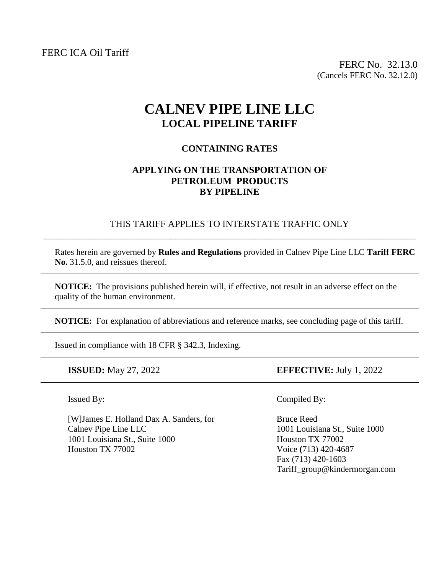FERC ICA Oil Tariff

FERC No. 32.13.0 (Cancels FERC No. 32.12.0)

# **CALNEV PIPE LINE LLC LOCAL PIPELINE TARIFF**

## **CONTAINING RATES**

#### **APPLYING ON THE TRANSPORTATION OF PETROLEUM PRODUCTS BY PIPELINE**

## THIS TARIFF APPLIES TO INTERSTATE TRAFFIC ONLY \_\_\_\_\_\_\_\_\_\_\_\_\_\_\_\_\_\_\_\_\_\_\_\_\_\_\_\_\_\_\_\_\_\_\_\_\_\_\_\_\_\_\_\_\_\_\_\_\_\_\_\_\_\_\_\_\_\_\_\_\_\_\_\_\_\_\_\_\_\_\_\_\_\_\_\_\_\_\_

Rates herein are governed by **Rules and Regulations** provided in Calnev Pipe Line LLC **Tariff FERC No.** 31.5.0, and reissues thereof.

**NOTICE:** The provisions published herein will, if effective, not result in an adverse effect on the quality of the human environment.

**NOTICE:** For explanation of abbreviations and reference marks, see concluding page of this tariff.

Issued in compliance with 18 CFR § 342.3, Indexing.

֧֪֚֞֝֬֝֬֝֬֝

[W] James E. Holland Dax A. Sanders, for Bruce Reed Calnev Pipe Line LLC 1001 Louisiana St., Suite 1000 1001 Louisiana St., Suite 1000 Houston TX 77002 Houston TX 77002 Voice **(**713) 420-4687

**ISSUED:** May 27, 2022 **EFFECTIVE:** July 1, 2022

Issued By: Compiled By:

Fax (713) 420-1603 Tariff\_group@kindermorgan.com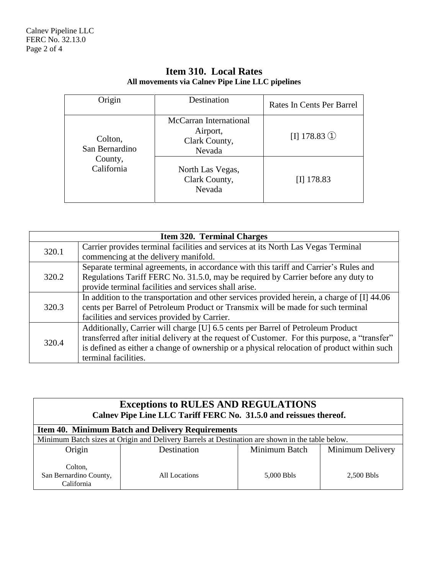| Origin                                             | Destination                                                   | Rates In Cents Per Barrel |
|----------------------------------------------------|---------------------------------------------------------------|---------------------------|
| Colton,<br>San Bernardino<br>County,<br>California | McCarran International<br>Airport,<br>Clark County,<br>Nevada | $[I]$ 178.83 ①            |
|                                                    | North Las Vegas,<br>Clark County,<br>Nevada                   | $[I]$ 178.83              |

# **Item 310. Local Rates All movements via Calnev Pipe Line LLC pipelines**

| <b>Item 320. Terminal Charges</b> |                                                                                               |  |
|-----------------------------------|-----------------------------------------------------------------------------------------------|--|
| 320.1                             | Carrier provides terminal facilities and services at its North Las Vegas Terminal             |  |
|                                   | commencing at the delivery manifold.                                                          |  |
| 320.2                             | Separate terminal agreements, in accordance with this tariff and Carrier's Rules and          |  |
|                                   | Regulations Tariff FERC No. 31.5.0, may be required by Carrier before any duty to             |  |
|                                   | provide terminal facilities and services shall arise.                                         |  |
| 320.3                             | In addition to the transportation and other services provided herein, a charge of [I] 44.06   |  |
|                                   | cents per Barrel of Petroleum Product or Transmix will be made for such terminal              |  |
|                                   | facilities and services provided by Carrier.                                                  |  |
| 320.4                             | Additionally, Carrier will charge [U] 6.5 cents per Barrel of Petroleum Product               |  |
|                                   | transferred after initial delivery at the request of Customer. For this purpose, a "transfer" |  |
|                                   | is defined as either a change of ownership or a physical relocation of product within such    |  |
|                                   | terminal facilities.                                                                          |  |

| <b>Exceptions to RULES AND REGULATIONS</b><br>Calnev Pipe Line LLC Tariff FERC No. 31.5.0 and reissues thereof. |               |               |                  |  |
|-----------------------------------------------------------------------------------------------------------------|---------------|---------------|------------------|--|
| <b>Item 40. Minimum Batch and Delivery Requirements</b>                                                         |               |               |                  |  |
| Minimum Batch sizes at Origin and Delivery Barrels at Destination are shown in the table below.                 |               |               |                  |  |
| Origin                                                                                                          | Destination   | Minimum Batch | Minimum Delivery |  |
| Colton.<br>San Bernardino County,<br>California                                                                 | All Locations | 5,000 Bbls    | 2.500 Bbls       |  |